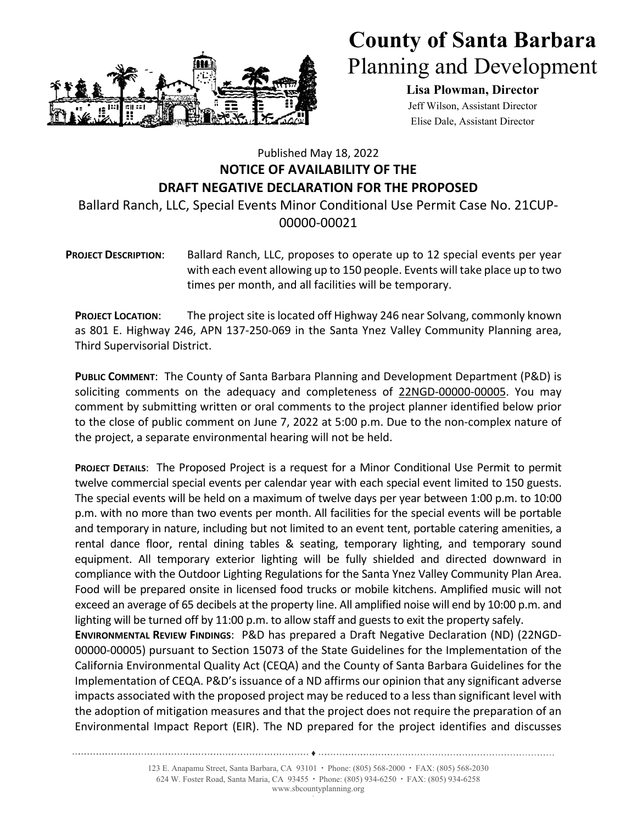

## **County of Santa Barbara** Planning and Development

**Lisa Plowman, Director**  Jeff Wilson, Assistant Director Elise Dale, Assistant Director

## Published May 18, 2022 **NOTICE OF AVAILABILITY OF THE DRAFT NEGATIVE DECLARATION FOR THE PROPOSED**

Ballard Ranch, LLC, Special Events Minor Conditional Use Permit Case No. 21CUP‐ 00000‐00021

**PROJECT DESCRIPTION**: Ballard Ranch, LLC, proposes to operate up to 12 special events per year with each event allowing up to 150 people. Events will take place up to two times per month, and all facilities will be temporary.

**PROJECT LOCATION**: The project site is located off Highway 246 near Solvang, commonly known as 801 E. Highway 246, APN 137‐250‐069 in the Santa Ynez Valley Community Planning area, Third Supervisorial District.

**PUBLIC COMMENT**: The County of Santa Barbara Planning and Development Department (P&D) is soliciting comments on the adequacy and completeness of 22NGD-00000-00005. You may comment by submitting written or oral comments to the project planner identified below prior to the close of public comment on June 7, 2022 at 5:00 p.m. Due to the non‐complex nature of the project, a separate environmental hearing will not be held.

**PROJECT DETAILS**: The Proposed Project is a request for a Minor Conditional Use Permit to permit twelve commercial special events per calendar year with each special event limited to 150 guests. The special events will be held on a maximum of twelve days per year between 1:00 p.m. to 10:00 p.m. with no more than two events per month. All facilities for the special events will be portable and temporary in nature, including but not limited to an event tent, portable catering amenities, a rental dance floor, rental dining tables & seating, temporary lighting, and temporary sound equipment. All temporary exterior lighting will be fully shielded and directed downward in compliance with the Outdoor Lighting Regulations for the Santa Ynez Valley Community Plan Area. Food will be prepared onsite in licensed food trucks or mobile kitchens. Amplified music will not exceed an average of 65 decibels at the property line. All amplified noise will end by 10:00 p.m. and lighting will be turned off by 11:00 p.m. to allow staff and guests to exit the property safely.

**ENVIRONMENTAL REVIEW FINDINGS**: P&D has prepared a Draft Negative Declaration (ND) (22NGD‐ 00000‐00005) pursuant to Section 15073 of the State Guidelines for the Implementation of the California Environmental Quality Act (CEQA) and the County of Santa Barbara Guidelines for the Implementation of CEQA. P&D's issuance of a ND affirms our opinion that any significant adverse impacts associated with the proposed project may be reduced to a less than significant level with the adoption of mitigation measures and that the project does not require the preparation of an Environmental Impact Report (EIR). The ND prepared for the project identifies and discusses